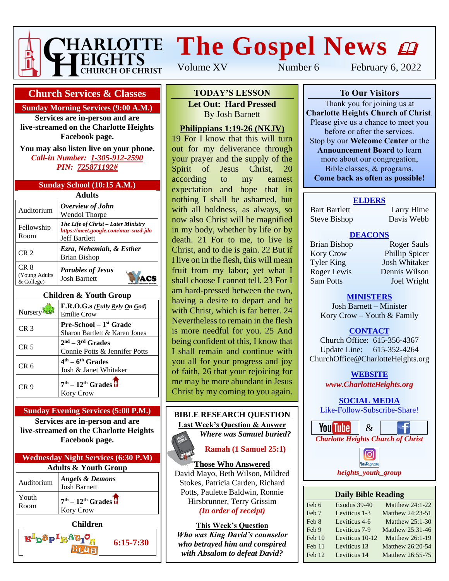

# **The Gospel News**

Volume XV Number 6 February 6, 2022

#### **Church Services & Classes**

#### **Sunday Morning Services (9:00 A.M.)**

**Services are in-person and are live-streamed on the Charlotte Heights Facebook page.**

**You may also listen live on your phone.** *Call-in Number: 1-305-912-2590 PIN: 725871192#*

|  | Sunday School (10:15 A.M.) |  |
|--|----------------------------|--|
|  |                            |  |

| Adults                               |                                                                                                     |  |  |
|--------------------------------------|-----------------------------------------------------------------------------------------------------|--|--|
| Auditorium                           | Overview of John<br><b>Wendol Thorpe</b>                                                            |  |  |
| Fellowship<br>Room                   | The Life of Christ – Later Ministry<br>https://meet.google.com/muz-snzd-jdo<br><b>Jeff Bartlett</b> |  |  |
| CR <sub>2</sub>                      | Ezra, Nehemiah, & Esther<br><b>Brian Bishop</b>                                                     |  |  |
| CR 8<br>(Young Adults)<br>& College) | <b>Parables of Jesus</b><br><b>Josh Barnett</b>                                                     |  |  |

#### **Children & Youth Group**

| Nursery | F.R.O.G.s ( <i>Fully Rely On God</i> )<br><b>Emilie Crow</b>     |
|---------|------------------------------------------------------------------|
| CR 3    | <b>Pre-School</b> – $1st$ Grade<br>Sharon Bartlett & Karen Jones |
| CR 5    | $2nd - 3rd$ Grades<br>Connie Potts & Jennifer Potts              |
| CR 6    | $4th - 6th$ Grades<br>Josh & Janet Whitaker                      |
| CR 9    | $7th - 12th$ Grades $\overline{\textbf{t}}$<br><b>Kory Crow</b>  |

#### **Sunday Evening Services (5:00 P.M.) Services are in-person and are live-streamed on the Charlotte Heights**

**Facebook page.**

| <b>Wednesday Night Services (6:30 P.M)</b> |                                                   |  |
|--------------------------------------------|---------------------------------------------------|--|
| <b>Adults &amp; Youth Group</b>            |                                                   |  |
| Auditorium                                 | <b>Angels &amp; Demons</b><br><b>Josh Barnett</b> |  |
| Youth<br>Room                              | $7th - 12th Grades$<br>Kory Crow                  |  |
|                                            |                                                   |  |

**Children**

 $\mathbf{K}^{\mathrm{I}}$ p $\mathbf{Sp}^{\mathrm{I}}$ R $\mathbf{Ag}$ 

**6:15-7:30**

# **To Our Visitors TODAY'S LESSON**

**Let Out: Hard Pressed Charlotte Heights Christian Barnett** 

#### Please give us a chance to meet you <u>Philippians 1:19-26 (NKJV)</u>

19 For I know that this will turn out for my deliverance through your prayer and the supply of the Spirit of Jesus Christ, 20 according to my earnest expectation and hope that in nothing I shall be ashamed, but with all boldness, as always, so now also Christ will be magnified in my body, whether by life or by death. 21 For to me, to live is Christ, and to die is gain. 22 But if I live on in the flesh, this will mean fruit from my labor; yet what I shall choose I cannot tell. 23 For I am hard-pressed between the two, having a desire to depart and be with Christ, which is far better. 24 Nevertheless to remain in the flesh is more needful for you. 25 And being confident of this, I know that I shall remain and continue with you all for your progress and joy of faith, 26 that your rejoicing for me may be more abundant in Jesus Christ by my coming to you again.

## **BIBLE RESEARCH QUESTION Last Week's Question & Answer** *Where was Samuel buried?*



## **Ramah (1 Samuel 25:1)**

#### **Those Who Answered** David Mayo, Beth Wilson, Mildred

Stokes, Patricia Carden, Richard Potts, Paulette Baldwin, Ronnie Hirsbrunner, Terry Grissim *(In order of receipt)*

**This Week's Question** *Who was King David's counselor who betrayed him and conspired with Absalom to defeat David?*

#### **To Our Visitors**

Thank you for joining us at **Charlotte Heights Church of Christ**. Please give us a chance to meet you before or after the services. Stop by our **Welcome Center** or the **Announcement Board** to learn more about our congregation, Bible classes, & programs. **Come back as often as possible!**

#### **ELDERS**

Bart Bartlett Larry Hime Steve Bishop Davis Webb

#### **DEACONS**

Kory Crow Phillip Spicer Tyler King Josh Whitaker Roger Lewis Dennis Wilson Sam Potts Joel Wright

Brian Bishop Roger Sauls

#### **MINISTERS**

Josh Barnett – Minister Kory Crow – Youth & Family

## **CONTACT**

Church Office: 615-356-4367 Update Line: 615-352-4264 ChurchOffice@CharlotteHeights.org

> **Media Postings** *www.CharlotteHeights.org* **WEBSITE**

# **SOCIAL MEDIA**

**COURL MEDIA** Like-Follow-Subscribe-Share!





#### **Daily Bible Reading**

| Feb 6            | Exodus 39-40    | <b>Matthew 24:1-22</b> |
|------------------|-----------------|------------------------|
| Feb <sub>7</sub> | Leviticus 1-3   | Matthew 24:23-51       |
| Feb 8            | Leviticus 4-6   | Matthew 25:1-30        |
| Feb 9            | Leviticus 7-9   | Matthew 25:31-46       |
| Feb 10           | Leviticus 10-12 | Matthew 26:1-19        |
| Feb 11           | Leviticus 13    | Matthew 26:20-54       |
| Feb 12           | Leviticus 14    | Matthew 26:55-75       |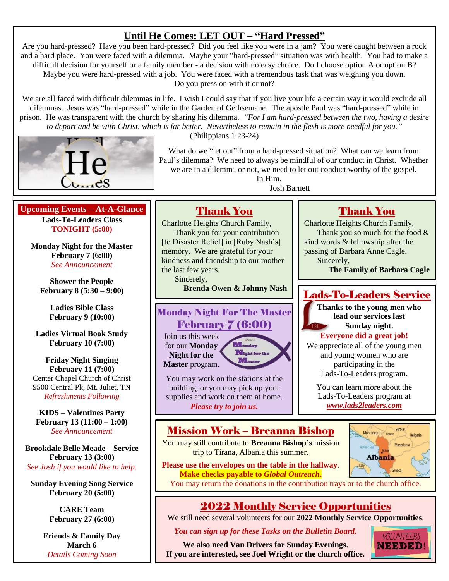# **Until He Comes: LET OUT – "Hard Pressed"**

Are you hard-pressed? Have you been hard-pressed? Did you feel like you were in a jam? You were caught between a rock and a hard place. You were faced with a dilemma. Maybe your "hard-pressed" situation was with health. You had to make a difficult decision for yourself or a family member - a decision with no easy choice. Do I choose option A or option B? Maybe you were hard-pressed with a job. You were faced with a tremendous task that was weighing you down. Do you press on with it or not?

We are all faced with difficult dilemmas in life. I wish I could say that if you live your life a certain way it would exclude all dilemmas. Jesus was "hard-pressed" while in the Garden of Gethsemane. The apostle Paul was "hard-pressed" while in prison. He was transparent with the church by sharing his dilemma. *"For I am hard-pressed between the two, having a desire to depart and be with Christ, which is far better. Nevertheless to remain in the flesh is more needful for you."*



(Philippians 1:23-24)

What do we "let out" from a hard-pressed situation? What can we learn from Paul's dilemma? We need to always be mindful of our conduct in Christ. Whether we are in a dilemma or not, we need to let out conduct worthy of the gospel.

In Him, Josh Barnett

#### **Upcoming Events – At-A-Glance Lads-To-Leaders Class TONIGHT (5:00)**

**Monday Night for the Master February 7 (6:00)** *See Announcement*

**Shower the People February 8 (5:30 – 9:00)**

**Ladies Bible Class February 9 (10:00)**

**Ladies Virtual Book Study February 10 (7:00)**

**Friday Night Singing February 11 (7:00)** Center Chapel Church of Christ 9500 Central Pk, Mt. Juliet, TN *Refreshments Following*

**KIDS – Valentines Party February 13 (11:00 – 1:00)** *See Announcement*

**Brookdale Belle Meade – Service February 13 (3:00)** *See Josh if you would like to help.*

**Sunday Evening Song Service February 20 (5:00)**

> **CARE Team February 27 (6:00)**

**Friends & Family Day March 6** *Details Coming Soon*

# Thank You

Charlotte Heights Church Family, Thank you for your contribution [to Disaster Relief] in [Ruby Nash's] memory. We are grateful for your kindness and friendship to our mother the last few years.

Sincerely,

**Brenda Owen & Johnny Nash**

## Monday Night For The Master February 7 (6:00)

Join us this week for our **Monday Night for the Master** program.



You may work on the stations at the building, or you may pick up your supplies and work on them at home. *Please try to join us.*

# Thank You

Charlotte Heights Church Family, Thank you so much for the food & kind words & fellowship after the passing of Barbara Anne Cagle. Sincerely,

**The Family of Barbara Cagle**

## Lads-To-Leaders Service

**Thanks to the young men who lead our services last Sunday night. Everyone did a great job!**

We appreciate all of the young men and young women who are participating in the Lads-To-Leaders program.

You can learn more about the Lads-To-Leaders program at *[www.lads2leaders.com](http://www.lads2leaders.com/)*

## Mission Work – Breanna Bishop

You may still contribute to **Breanna Bishop's** mission trip to Tirana, Albania this summer.



**Please use the envelopes on the table in the hallway**. **Make checks payable to** *Global Outreach***.**

You may return the donations in the contribution trays or to the church office.

# 2022 Monthly Service Opportunities

We still need several volunteers for our **2022 Monthly Service Opportunities**.

*You can sign up for these Tasks on the Bulletin Board.*

**We also need Van Drivers for Sunday Evenings. If you are interested, see Joel Wright or the church office.**

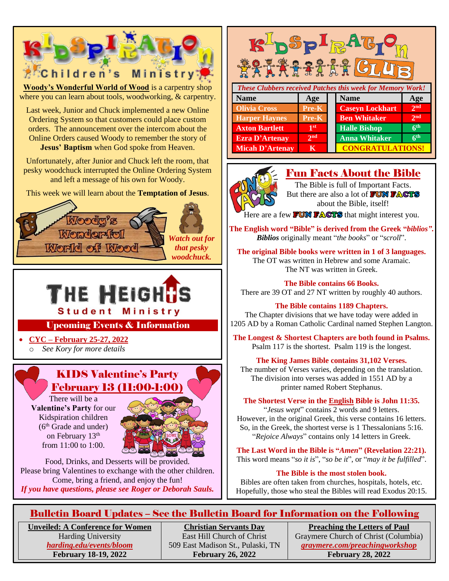

Harding University *[harding.edu/events/bloom](http://www.harding.edu/events/bloom)* **February 18-19, 2022**

East Hill Church of Christ 509 East Madison St., Pulaski, TN **February 26, 2022**

Graymere Church of Christ (Columbia) *[graymere.com/preachingworkshop](http://www.graymere.com/preachingworkshop)* **February 28, 2022**